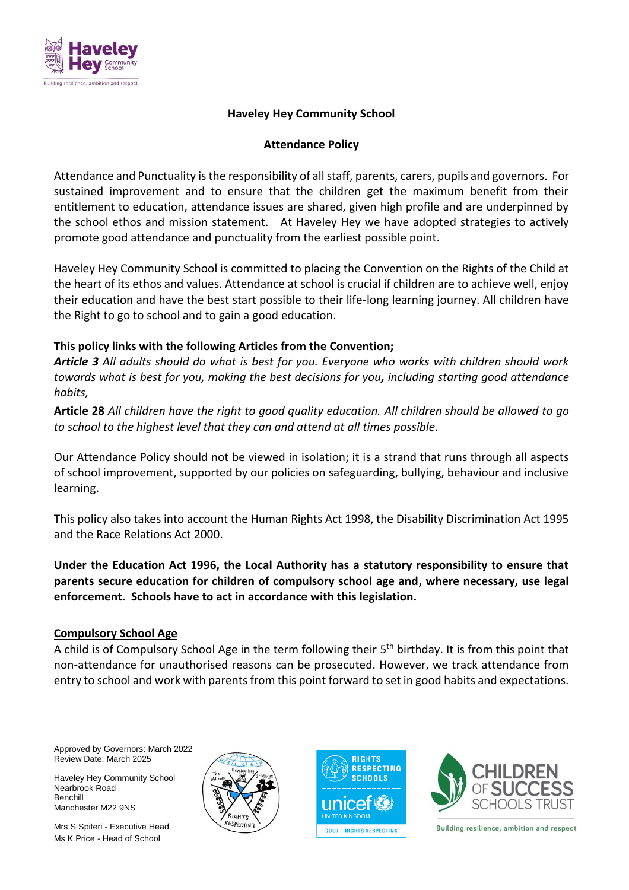

# **Haveley Hey Community School**

## **Attendance Policy**

Attendance and Punctuality is the responsibility of all staff, parents, carers, pupils and governors. For sustained improvement and to ensure that the children get the maximum benefit from their entitlement to education, attendance issues are shared, given high profile and are underpinned by the school ethos and mission statement. At Haveley Hey we have adopted strategies to actively promote good attendance and punctuality from the earliest possible point.

Haveley Hey Community School is committed to placing the Convention on the Rights of the Child at the heart of its ethos and values. Attendance at school is crucial if children are to achieve well, enjoy their education and have the best start possible to their life-long learning journey. All children have the Right to go to school and to gain a good education.

## **This policy links with the following Articles from the Convention;**

*Article 3 All adults should do what is best for you. Everyone who works with children should work towards what is best for you, making the best decisions for you, including starting good attendance habits,*

**Article 28** *All children have the right to good quality education. All children should be allowed to go to school to the highest level that they can and attend at all times possible.*

Our Attendance Policy should not be viewed in isolation; it is a strand that runs through all aspects of school improvement, supported by our policies on safeguarding, bullying, behaviour and inclusive learning.

This policy also takes into account the Human Rights Act 1998, the Disability Discrimination Act 1995 and the Race Relations Act 2000.

**Under the Education Act 1996, the Local Authority has a statutory responsibility to ensure that parents secure education for children of compulsory school age and, where necessary, use legal enforcement. Schools have to act in accordance with this legislation.** 

# **Compulsory School Age**

A child is of Compulsory School Age in the term following their 5<sup>th</sup> birthday. It is from this point that non-attendance for unauthorised reasons can be prosecuted. However, we track attendance from entry to school and work with parents from this point forward to set in good habits and expectations.

Approved by Governors: March 2022 Review Date: March 2025

Haveley Hey Community School Nearbrook Road Benchill Manchester M22 9NS

Mrs S Spiteri - Executive Head Ms K Price - Head of School





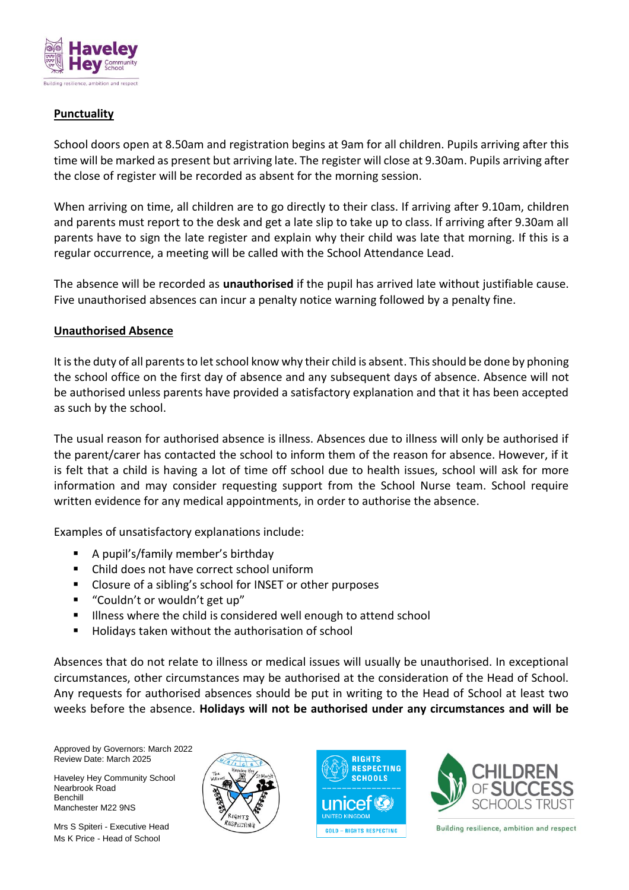

# **Punctuality**

School doors open at 8.50am and registration begins at 9am for all children. Pupils arriving after this time will be marked as present but arriving late. The register will close at 9.30am. Pupils arriving after the close of register will be recorded as absent for the morning session.

When arriving on time, all children are to go directly to their class. If arriving after 9.10am, children and parents must report to the desk and get a late slip to take up to class. If arriving after 9.30am all parents have to sign the late register and explain why their child was late that morning. If this is a regular occurrence, a meeting will be called with the School Attendance Lead.

The absence will be recorded as **unauthorised** if the pupil has arrived late without justifiable cause. Five unauthorised absences can incur a penalty notice warning followed by a penalty fine.

## **Unauthorised Absence**

It is the duty of all parents to let school know why their child is absent. This should be done by phoning the school office on the first day of absence and any subsequent days of absence. Absence will not be authorised unless parents have provided a satisfactory explanation and that it has been accepted as such by the school.

The usual reason for authorised absence is illness. Absences due to illness will only be authorised if the parent/carer has contacted the school to inform them of the reason for absence. However, if it is felt that a child is having a lot of time off school due to health issues, school will ask for more information and may consider requesting support from the School Nurse team. School require written evidence for any medical appointments, in order to authorise the absence.

Examples of unsatisfactory explanations include:

- A pupil's/family member's birthday
- Child does not have correct school uniform
- Closure of a sibling's school for INSET or other purposes
- "Couldn't or wouldn't get up"
- I Illness where the child is considered well enough to attend school
- Holidays taken without the authorisation of school

Absences that do not relate to illness or medical issues will usually be unauthorised. In exceptional circumstances, other circumstances may be authorised at the consideration of the Head of School. Any requests for authorised absences should be put in writing to the Head of School at least two weeks before the absence. **Holidays will not be authorised under any circumstances and will be** 

Approved by Governors: March 2022 Review Date: March 2025

Haveley Hey Community School Nearbrook Road Benchill Manchester M22 9NS

Mrs S Spiteri - Executive Head Ms K Price - Head of School





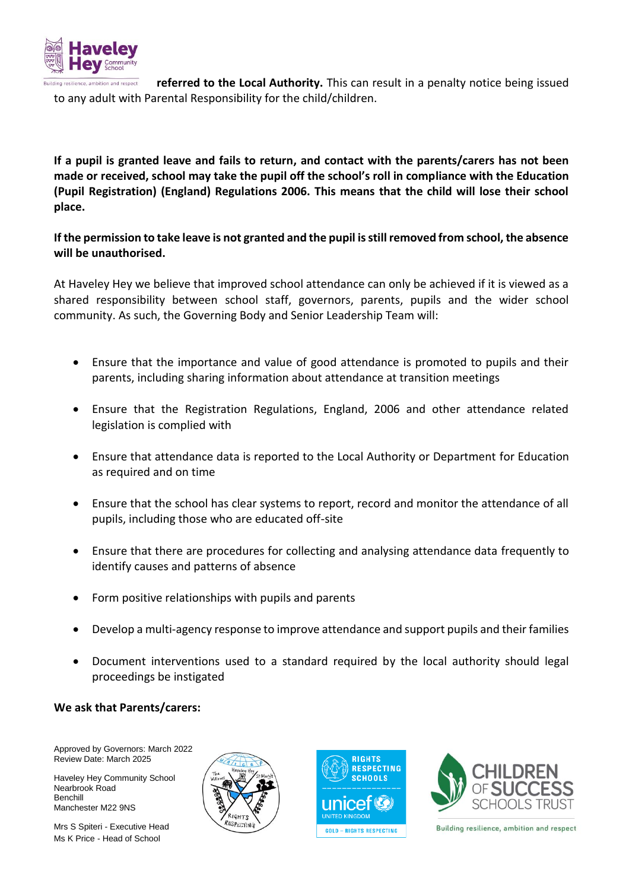

ion and respect **referred to the Local Authority.** This can result in a penalty notice being issued to any adult with Parental Responsibility for the child/children.

**If a pupil is granted leave and fails to return, and contact with the parents/carers has not been made or received, school may take the pupil off the school's roll in compliance with the Education (Pupil Registration) (England) Regulations 2006. This means that the child will lose their school place.** 

**If the permission to take leave is not granted and the pupil is still removed from school, the absence will be unauthorised.** 

At Haveley Hey we believe that improved school attendance can only be achieved if it is viewed as a shared responsibility between school staff, governors, parents, pupils and the wider school community. As such, the Governing Body and Senior Leadership Team will:

- Ensure that the importance and value of good attendance is promoted to pupils and their parents, including sharing information about attendance at transition meetings
- Ensure that the Registration Regulations, England, 2006 and other attendance related legislation is complied with
- Ensure that attendance data is reported to the Local Authority or Department for Education as required and on time
- Ensure that the school has clear systems to report, record and monitor the attendance of all pupils, including those who are educated off-site
- Ensure that there are procedures for collecting and analysing attendance data frequently to identify causes and patterns of absence
- Form positive relationships with pupils and parents
- Develop a multi-agency response to improve attendance and support pupils and their families
- Document interventions used to a standard required by the local authority should legal proceedings be instigated

#### **We ask that Parents/carers:**

Approved by Governors: March 2022 Review Date: March 2025

Haveley Hey Community School Nearbrook Road Benchill Manchester M22 9NS

Mrs S Spiteri - Executive Head Ms K Price - Head of School





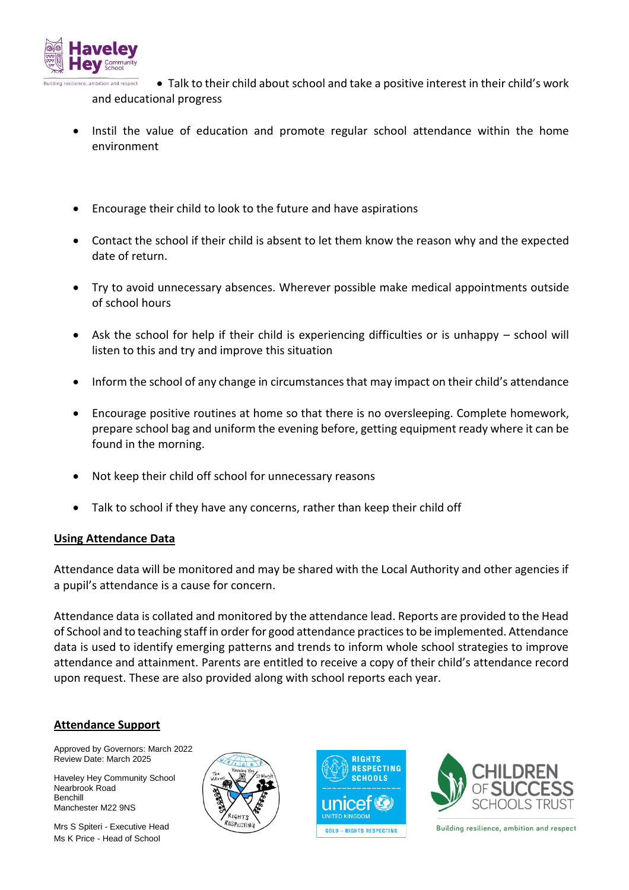

and respect Talk to their child about school and take a positive interest in their child's work and educational progress

- Instil the value of education and promote regular school attendance within the home environment
- Encourage their child to look to the future and have aspirations
- Contact the school if their child is absent to let them know the reason why and the expected date of return.
- Try to avoid unnecessary absences. Wherever possible make medical appointments outside of school hours
- Ask the school for help if their child is experiencing difficulties or is unhappy school will listen to this and try and improve this situation
- Inform the school of any change in circumstances that may impact on their child's attendance
- Encourage positive routines at home so that there is no oversleeping. Complete homework, prepare school bag and uniform the evening before, getting equipment ready where it can be found in the morning.
- Not keep their child off school for unnecessary reasons
- Talk to school if they have any concerns, rather than keep their child off

#### **Using Attendance Data**

Attendance data will be monitored and may be shared with the Local Authority and other agencies if a pupil's attendance is a cause for concern.

Attendance data is collated and monitored by the attendance lead. Reports are provided to the Head of School and to teaching staff in order for good attendance practices to be implemented. Attendance data is used to identify emerging patterns and trends to inform whole school strategies to improve attendance and attainment. Parents are entitled to receive a copy of their child's attendance record upon request. These are also provided along with school reports each year.

#### **Attendance Support**

Approved by Governors: March 2022 Review Date: March 2025

Haveley Hey Community School Nearbrook Road Benchill Manchester M22 9NS

Mrs S Spiteri - Executive Head Ms K Price - Head of School





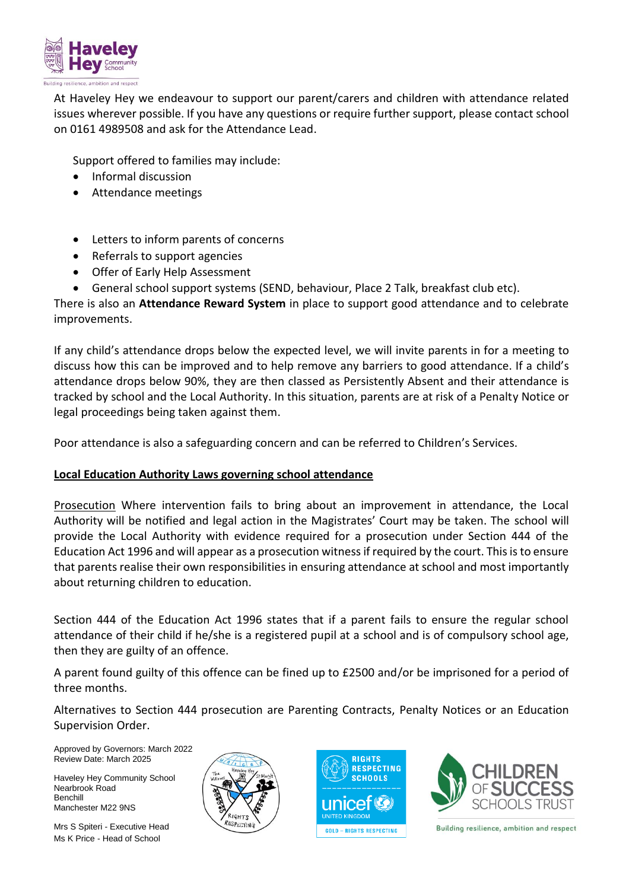

At Haveley Hey we endeavour to support our parent/carers and children with attendance related issues wherever possible. If you have any questions or require further support, please contact school on 0161 4989508 and ask for the Attendance Lead.

Support offered to families may include:

- Informal discussion
- Attendance meetings
- Letters to inform parents of concerns
- Referrals to support agencies
- Offer of Early Help Assessment
- General school support systems (SEND, behaviour, Place 2 Talk, breakfast club etc).

There is also an **Attendance Reward System** in place to support good attendance and to celebrate improvements.

If any child's attendance drops below the expected level, we will invite parents in for a meeting to discuss how this can be improved and to help remove any barriers to good attendance. If a child's attendance drops below 90%, they are then classed as Persistently Absent and their attendance is tracked by school and the Local Authority. In this situation, parents are at risk of a Penalty Notice or legal proceedings being taken against them.

Poor attendance is also a safeguarding concern and can be referred to Children's Services.

# **Local Education Authority Laws governing school attendance**

Prosecution Where intervention fails to bring about an improvement in attendance, the Local Authority will be notified and legal action in the Magistrates' Court may be taken. The school will provide the Local Authority with evidence required for a prosecution under Section 444 of the Education Act 1996 and will appear as a prosecution witness if required by the court. This is to ensure that parents realise their own responsibilities in ensuring attendance at school and most importantly about returning children to education.

Section 444 of the Education Act 1996 states that if a parent fails to ensure the regular school attendance of their child if he/she is a registered pupil at a school and is of compulsory school age, then they are guilty of an offence.

A parent found guilty of this offence can be fined up to £2500 and/or be imprisoned for a period of three months.

Alternatives to Section 444 prosecution are Parenting Contracts, Penalty Notices or an Education Supervision Order.

Approved by Governors: March 2022 Review Date: March 2025

Haveley Hey Community School Nearbrook Road Benchill Manchester M22 9NS

Mrs S Spiteri - Executive Head Ms K Price - Head of School